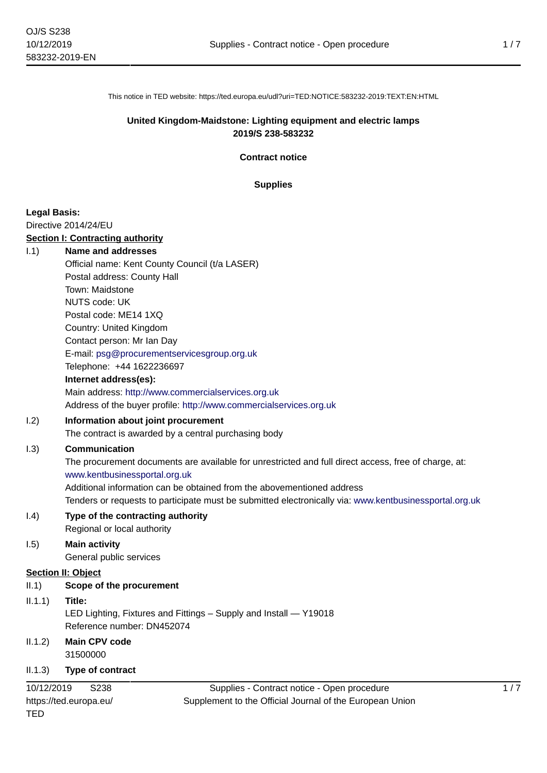This notice in TED website: https://ted.europa.eu/udl?uri=TED:NOTICE:583232-2019:TEXT:EN:HTML

### **United Kingdom-Maidstone: Lighting equipment and electric lamps 2019/S 238-583232**

**Contract notice**

#### **Supplies**

### **Legal Basis:**

TED

Directive 2014/24/EU

# **Section I: Contracting authority**

| 1.1)       | <b>Name and addresses</b>                                                                              |
|------------|--------------------------------------------------------------------------------------------------------|
|            | Official name: Kent County Council (t/a LASER)                                                         |
|            | Postal address: County Hall                                                                            |
|            | Town: Maidstone                                                                                        |
|            | <b>NUTS code: UK</b>                                                                                   |
|            | Postal code: ME14 1XQ                                                                                  |
|            | Country: United Kingdom                                                                                |
|            | Contact person: Mr Ian Day                                                                             |
|            | E-mail: psg@procurementservicesgroup.org.uk                                                            |
|            | Telephone: +44 1622236697                                                                              |
|            | Internet address(es):                                                                                  |
|            | Main address: http://www.commercialservices.org.uk                                                     |
|            | Address of the buyer profile: http://www.commercialservices.org.uk                                     |
| 1.2)       | Information about joint procurement                                                                    |
|            | The contract is awarded by a central purchasing body                                                   |
| 1.3)       | Communication                                                                                          |
|            | The procurement documents are available for unrestricted and full direct access, free of charge, at:   |
|            | www.kentbusinessportal.org.uk                                                                          |
|            | Additional information can be obtained from the abovementioned address                                 |
|            | Tenders or requests to participate must be submitted electronically via: www.kentbusinessportal.org.uk |
| 1.4)       | Type of the contracting authority                                                                      |
|            | Regional or local authority                                                                            |
| 1.5)       | <b>Main activity</b>                                                                                   |
|            | General public services                                                                                |
|            | <b>Section II: Object</b>                                                                              |
| II.1)      | Scope of the procurement                                                                               |
| II.1.1)    | Title:                                                                                                 |
|            | LED Lighting, Fixtures and Fittings - Supply and Install - Y19018                                      |
|            | Reference number: DN452074                                                                             |
| II.1.2)    | <b>Main CPV code</b>                                                                                   |
|            | 31500000                                                                                               |
| II.1.3)    | Type of contract                                                                                       |
| 10/12/2019 | Supplies - Contract notice - Open procedure<br>S238                                                    |
|            | Supplement to the Official Journal of the European Union<br>https://ted.europa.eu/                     |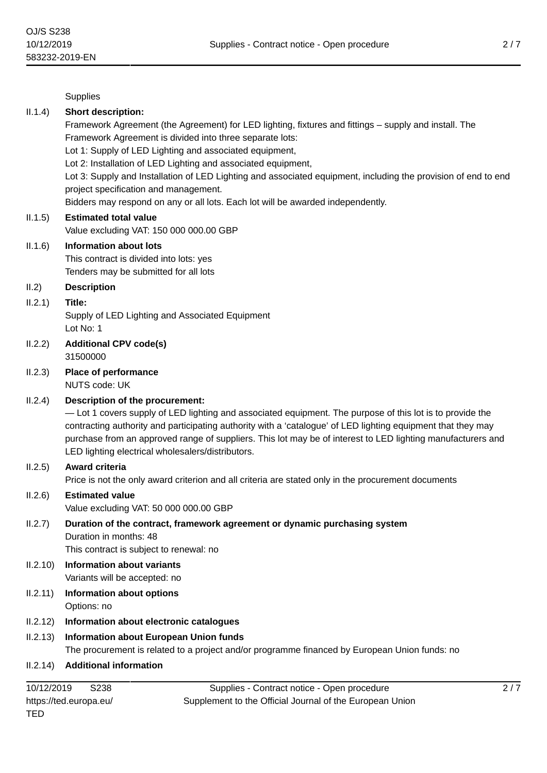**Supplies** 

#### II.1.4) **Short description:**

Framework Agreement (the Agreement) for LED lighting, fixtures and fittings – supply and install. The Framework Agreement is divided into three separate lots:

Lot 1: Supply of LED Lighting and associated equipment,

Lot 2: Installation of LED Lighting and associated equipment,

Lot 3: Supply and Installation of LED Lighting and associated equipment, including the provision of end to end project specification and management.

Bidders may respond on any or all lots. Each lot will be awarded independently.

#### II.1.5) **Estimated total value**

Value excluding VAT: 150 000 000.00 GBP

#### II.1.6) **Information about lots**

This contract is divided into lots: yes Tenders may be submitted for all lots

#### II.2) **Description**

#### II.2.1) **Title:**

Supply of LED Lighting and Associated Equipment Lot No: 1

- II.2.2) **Additional CPV code(s)** 31500000
- II.2.3) **Place of performance**

NUTS code: UK

# II.2.4) **Description of the procurement:**

— Lot 1 covers supply of LED lighting and associated equipment. The purpose of this lot is to provide the contracting authority and participating authority with a 'catalogue' of LED lighting equipment that they may purchase from an approved range of suppliers. This lot may be of interest to LED lighting manufacturers and LED lighting electrical wholesalers/distributors.

#### II.2.5) **Award criteria**

Price is not the only award criterion and all criteria are stated only in the procurement documents

II.2.6) **Estimated value** Value excluding VAT: 50 000 000.00 GBP

#### II.2.7) **Duration of the contract, framework agreement or dynamic purchasing system** Duration in months: 48 This contract is subject to renewal: no

- II.2.10) **Information about variants**
	- Variants will be accepted: no
- II.2.11) **Information about options** Options: no

# II.2.12) **Information about electronic catalogues**

# II.2.13) **Information about European Union funds**

The procurement is related to a project and/or programme financed by European Union funds: no

# II.2.14) **Additional information**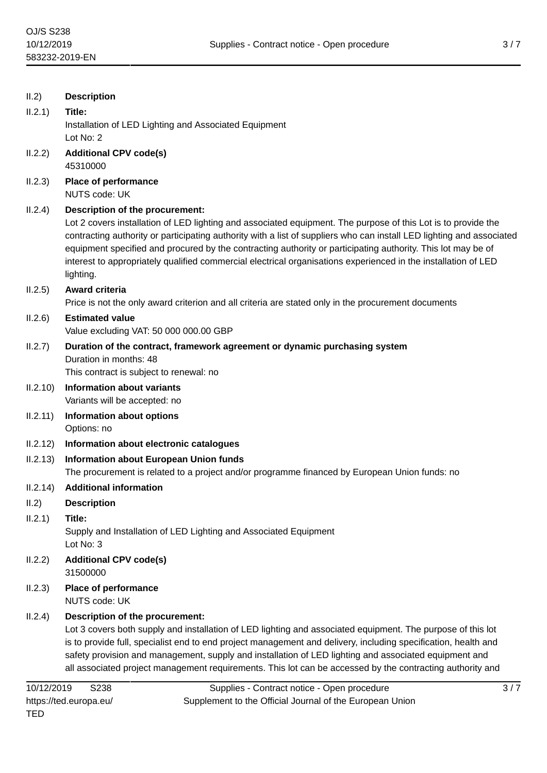| II.2)    | <b>Description</b>                                                                                                                                                                                                                                                                                                                                                                                                                                                                     |  |  |  |
|----------|----------------------------------------------------------------------------------------------------------------------------------------------------------------------------------------------------------------------------------------------------------------------------------------------------------------------------------------------------------------------------------------------------------------------------------------------------------------------------------------|--|--|--|
| II.2.1)  | Title:                                                                                                                                                                                                                                                                                                                                                                                                                                                                                 |  |  |  |
|          | Installation of LED Lighting and Associated Equipment<br>Lot No: 2                                                                                                                                                                                                                                                                                                                                                                                                                     |  |  |  |
| II.2.2)  | <b>Additional CPV code(s)</b><br>45310000                                                                                                                                                                                                                                                                                                                                                                                                                                              |  |  |  |
| II.2.3)  | Place of performance<br><b>NUTS code: UK</b>                                                                                                                                                                                                                                                                                                                                                                                                                                           |  |  |  |
| II.2.4)  | Description of the procurement:                                                                                                                                                                                                                                                                                                                                                                                                                                                        |  |  |  |
|          | Lot 2 covers installation of LED lighting and associated equipment. The purpose of this Lot is to provide the<br>contracting authority or participating authority with a list of suppliers who can install LED lighting and associated<br>equipment specified and procured by the contracting authority or participating authority. This lot may be of<br>interest to appropriately qualified commercial electrical organisations experienced in the installation of LED<br>lighting.  |  |  |  |
| II.2.5)  | Award criteria                                                                                                                                                                                                                                                                                                                                                                                                                                                                         |  |  |  |
|          | Price is not the only award criterion and all criteria are stated only in the procurement documents                                                                                                                                                                                                                                                                                                                                                                                    |  |  |  |
| II.2.6)  | <b>Estimated value</b><br>Value excluding VAT: 50 000 000.00 GBP                                                                                                                                                                                                                                                                                                                                                                                                                       |  |  |  |
| II.2.7)  | Duration of the contract, framework agreement or dynamic purchasing system<br>Duration in months: 48<br>This contract is subject to renewal: no                                                                                                                                                                                                                                                                                                                                        |  |  |  |
| II.2.10) | <b>Information about variants</b><br>Variants will be accepted: no                                                                                                                                                                                                                                                                                                                                                                                                                     |  |  |  |
| II.2.11) | <b>Information about options</b>                                                                                                                                                                                                                                                                                                                                                                                                                                                       |  |  |  |
|          | Options: no                                                                                                                                                                                                                                                                                                                                                                                                                                                                            |  |  |  |
| II.2.12) | Information about electronic catalogues                                                                                                                                                                                                                                                                                                                                                                                                                                                |  |  |  |
| II.2.13) | Information about European Union funds<br>The procurement is related to a project and/or programme financed by European Union funds: no                                                                                                                                                                                                                                                                                                                                                |  |  |  |
| 11.2.14) | <b>Additional information</b>                                                                                                                                                                                                                                                                                                                                                                                                                                                          |  |  |  |
| II.2)    | <b>Description</b>                                                                                                                                                                                                                                                                                                                                                                                                                                                                     |  |  |  |
| II.2.1)  | Title:<br>Supply and Installation of LED Lighting and Associated Equipment<br>Lot No: 3                                                                                                                                                                                                                                                                                                                                                                                                |  |  |  |
| II.2.2)  | <b>Additional CPV code(s)</b><br>31500000                                                                                                                                                                                                                                                                                                                                                                                                                                              |  |  |  |
| II.2.3)  | <b>Place of performance</b><br><b>NUTS code: UK</b>                                                                                                                                                                                                                                                                                                                                                                                                                                    |  |  |  |
| II.2.4)  | Description of the procurement:<br>Lot 3 covers both supply and installation of LED lighting and associated equipment. The purpose of this lot<br>is to provide full, specialist end to end project management and delivery, including specification, health and<br>safety provision and management, supply and installation of LED lighting and associated equipment and<br>all associated project management requirements. This lot can be accessed by the contracting authority and |  |  |  |
|          |                                                                                                                                                                                                                                                                                                                                                                                                                                                                                        |  |  |  |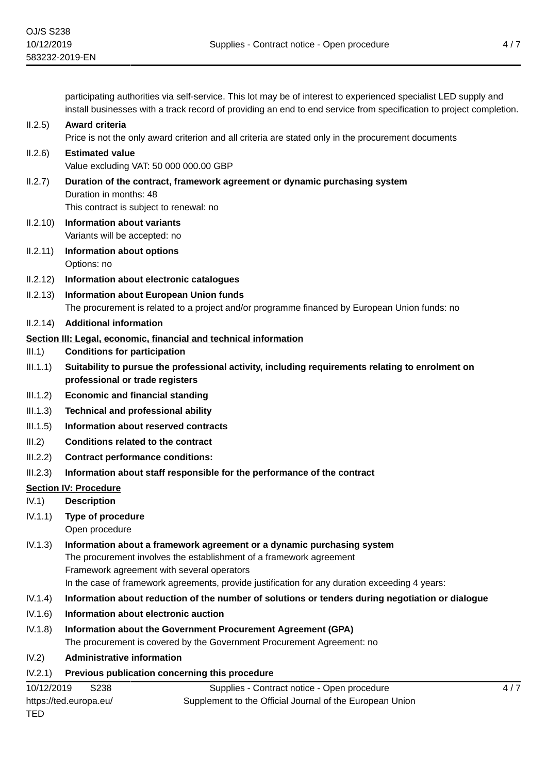participating authorities via self-service. This lot may be of interest to experienced specialist LED supply and install businesses with a track record of providing an end to end service from specification to project completion.

# II.2.5) **Award criteria**

Price is not the only award criterion and all criteria are stated only in the procurement documents

# II.2.6) **Estimated value**

Value excluding VAT: 50 000 000.00 GBP

- II.2.7) **Duration of the contract, framework agreement or dynamic purchasing system** Duration in months: 48 This contract is subject to renewal: no
- II.2.10) **Information about variants** Variants will be accepted: no
- II.2.11) **Information about options** Options: no
- II.2.12) **Information about electronic catalogues**
- II.2.13) **Information about European Union funds** The procurement is related to a project and/or programme financed by European Union funds: no
- II.2.14) **Additional information**

# **Section III: Legal, economic, financial and technical information**

- III.1) **Conditions for participation**
- III.1.1) **Suitability to pursue the professional activity, including requirements relating to enrolment on professional or trade registers**
- III.1.2) **Economic and financial standing**
- III.1.3) **Technical and professional ability**
- III.1.5) **Information about reserved contracts**
- III.2) **Conditions related to the contract**
- III.2.2) **Contract performance conditions:**
- III.2.3) **Information about staff responsible for the performance of the contract**

# **Section IV: Procedure**

- IV.1) **Description**
- IV.1.1) **Type of procedure**
	- Open procedure
- IV.1.3) **Information about a framework agreement or a dynamic purchasing system** The procurement involves the establishment of a framework agreement Framework agreement with several operators In the case of framework agreements, provide justification for any duration exceeding 4 years:
- IV.1.4) **Information about reduction of the number of solutions or tenders during negotiation or dialogue**
- IV.1.6) **Information about electronic auction**
- IV.1.8) **Information about the Government Procurement Agreement (GPA)** The procurement is covered by the Government Procurement Agreement: no
- IV.2) **Administrative information**

# IV.2.1) **Previous publication concerning this procedure**

| 10/12/2019             | S238 | Supplies - Contract notice - Open procedure              |
|------------------------|------|----------------------------------------------------------|
| https://ted.europa.eu/ |      | Supplement to the Official Journal of the European Union |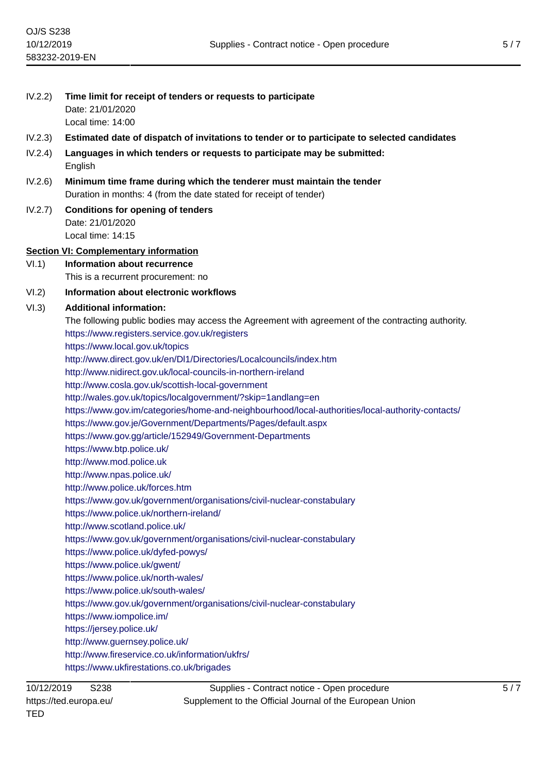| IV.2.2) | Time limit for receipt of tenders or requests to participate                                                                                |  |  |  |
|---------|---------------------------------------------------------------------------------------------------------------------------------------------|--|--|--|
|         | Date: 21/01/2020                                                                                                                            |  |  |  |
|         | Local time: 14:00                                                                                                                           |  |  |  |
| IV.2.3) | Estimated date of dispatch of invitations to tender or to participate to selected candidates                                                |  |  |  |
| IV.2.4) | Languages in which tenders or requests to participate may be submitted:<br>English                                                          |  |  |  |
| IV.2.6) | Minimum time frame during which the tenderer must maintain the tender<br>Duration in months: 4 (from the date stated for receipt of tender) |  |  |  |
| IV.2.7) | <b>Conditions for opening of tenders</b><br>Date: 21/01/2020<br>Local time: 14:15                                                           |  |  |  |
|         |                                                                                                                                             |  |  |  |
| VI.1)   | <b>Section VI: Complementary information</b><br><b>Information about recurrence</b>                                                         |  |  |  |
|         | This is a recurrent procurement: no                                                                                                         |  |  |  |
| VI.2)   | Information about electronic workflows                                                                                                      |  |  |  |
| VI.3)   | <b>Additional information:</b>                                                                                                              |  |  |  |
|         | The following public bodies may access the Agreement with agreement of the contracting authority.                                           |  |  |  |
|         | https://www.registers.service.gov.uk/registers                                                                                              |  |  |  |
|         | https://www.local.gov.uk/topics                                                                                                             |  |  |  |
|         | http://www.direct.gov.uk/en/DI1/Directories/Localcouncils/index.htm                                                                         |  |  |  |
|         | http://www.nidirect.gov.uk/local-councils-in-northern-ireland                                                                               |  |  |  |
|         | http://www.cosla.gov.uk/scottish-local-government                                                                                           |  |  |  |
|         | http://wales.gov.uk/topics/localgovernment/?skip=1andlang=en                                                                                |  |  |  |
|         | https://www.gov.im/categories/home-and-neighbourhood/local-authorities/local-authority-contacts/                                            |  |  |  |
|         | https://www.gov.je/Government/Departments/Pages/default.aspx                                                                                |  |  |  |
|         | https://www.gov.gg/article/152949/Government-Departments<br>https://www.btp.police.uk/                                                      |  |  |  |
|         | http://www.mod.police.uk                                                                                                                    |  |  |  |
|         | http://www.npas.police.uk/                                                                                                                  |  |  |  |
|         | http://www.police.uk/forces.htm                                                                                                             |  |  |  |
|         | https://www.gov.uk/government/organisations/civil-nuclear-constabulary                                                                      |  |  |  |
|         | https://www.police.uk/northern-ireland/                                                                                                     |  |  |  |
|         | http://www.scotland.police.uk/                                                                                                              |  |  |  |
|         | https://www.gov.uk/government/organisations/civil-nuclear-constabulary                                                                      |  |  |  |
|         | https://www.police.uk/dyfed-powys/                                                                                                          |  |  |  |
|         | https://www.police.uk/gwent/                                                                                                                |  |  |  |
|         | https://www.police.uk/north-wales/                                                                                                          |  |  |  |
|         | https://www.police.uk/south-wales/                                                                                                          |  |  |  |
|         | https://www.gov.uk/government/organisations/civil-nuclear-constabulary                                                                      |  |  |  |
|         | https://www.iompolice.im/<br>https://jersey.police.uk/                                                                                      |  |  |  |
|         | http://www.guernsey.police.uk/                                                                                                              |  |  |  |
|         | http://www.fireservice.co.uk/information/ukfrs/                                                                                             |  |  |  |
|         | https://www.ukfirestations.co.uk/brigades                                                                                                   |  |  |  |
|         |                                                                                                                                             |  |  |  |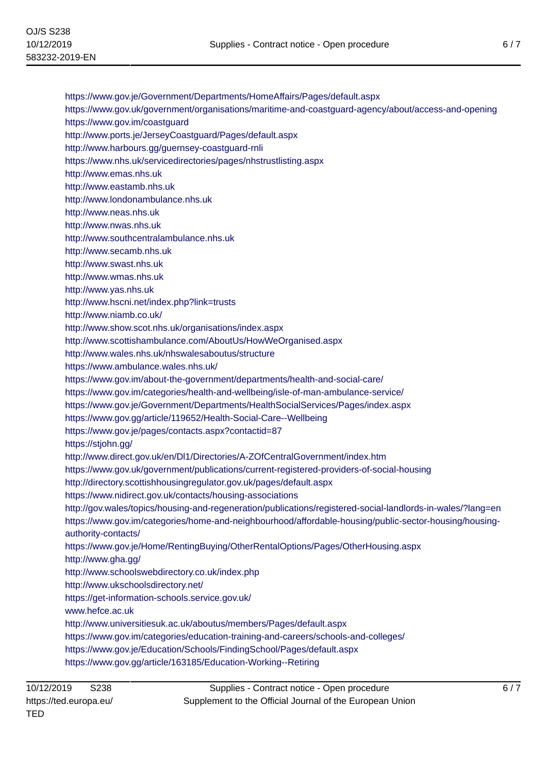<https://www.gov.je/Government/Departments/HomeAffairs/Pages/default.aspx>

<https://www.gov.uk/government/organisations/maritime-and-coastguard-agency/about/access-and-opening>

<https://www.gov.im/coastguard>

<http://www.ports.je/JerseyCoastguard/Pages/default.aspx>

<http://www.harbours.gg/guernsey-coastguard-rnli>

<https://www.nhs.uk/servicedirectories/pages/nhstrustlisting.aspx>

<http://www.emas.nhs.uk>

<http://www.eastamb.nhs.uk>

<http://www.londonambulance.nhs.uk>

<http://www.neas.nhs.uk>

<http://www.nwas.nhs.uk>

<http://www.southcentralambulance.nhs.uk>

<http://www.secamb.nhs.uk>

<http://www.swast.nhs.uk>

<http://www.wmas.nhs.uk>

<http://www.yas.nhs.uk>

<http://www.hscni.net/index.php?link=trusts>

<http://www.niamb.co.uk/>

<http://www.show.scot.nhs.uk/organisations/index.aspx>

<http://www.scottishambulance.com/AboutUs/HowWeOrganised.aspx>

<http://www.wales.nhs.uk/nhswalesaboutus/structure>

<https://www.ambulance.wales.nhs.uk/>

<https://www.gov.im/about-the-government/departments/health-and-social-care/>

<https://www.gov.im/categories/health-and-wellbeing/isle-of-man-ambulance-service/>

<https://www.gov.je/Government/Departments/HealthSocialServices/Pages/index.aspx>

<https://www.gov.gg/article/119652/Health-Social-Care--Wellbeing>

<https://www.gov.je/pages/contacts.aspx?contactid=87>

<https://stjohn.gg/>

<http://www.direct.gov.uk/en/Dl1/Directories/A-ZOfCentralGovernment/index.htm>

<https://www.gov.uk/government/publications/current-registered-providers-of-social-housing>

<http://directory.scottishhousingregulator.gov.uk/pages/default.aspx>

<https://www.nidirect.gov.uk/contacts/housing-associations>

<http://gov.wales/topics/housing-and-regeneration/publications/registered-social-landlords-in-wales/?lang=en> [https://www.gov.im/categories/home-and-neighbourhood/affordable-housing/public-sector-housing/housing](https://www.gov.im/categories/home-and-neighbourhood/affordable-housing/public-sector-housing/housing-authority-contacts/)[authority-contacts/](https://www.gov.im/categories/home-and-neighbourhood/affordable-housing/public-sector-housing/housing-authority-contacts/)

<https://www.gov.je/Home/RentingBuying/OtherRentalOptions/Pages/OtherHousing.aspx>

<http://www.gha.gg/>

<http://www.schoolswebdirectory.co.uk/index.php>

<http://www.ukschoolsdirectory.net/>

<https://get-information-schools.service.gov.uk/>

<www.hefce.ac.uk>

<http://www.universitiesuk.ac.uk/aboutus/members/Pages/default.aspx>

<https://www.gov.im/categories/education-training-and-careers/schools-and-colleges/>

<https://www.gov.je/Education/Schools/FindingSchool/Pages/default.aspx>

<https://www.gov.gg/article/163185/Education-Working--Retiring>